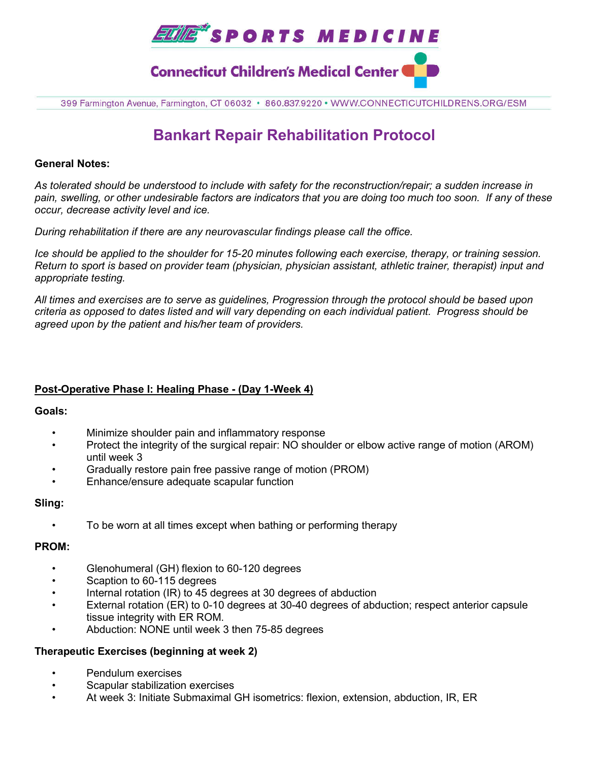

399 Farmington Avenue, Farmington, CT 06032 · 860.837.9220 · WWW.CONNECTICUTCHILDRENS.ORG/ESM

# **Bankart Repair Rehabilitation Protocol**

#### **General Notes:**

*As tolerated should be understood to include with safety for the reconstruction/repair; a sudden increase in pain, swelling, or other undesirable factors are indicators that you are doing too much too soon. If any of these occur, decrease activity level and ice.* 

*During rehabilitation if there are any neurovascular findings please call the office.*

*Ice should be applied to the shoulder for 15-20 minutes following each exercise, therapy, or training session. Return to sport is based on provider team (physician, physician assistant, athletic trainer, therapist) input and appropriate testing.*

*All times and exercises are to serve as guidelines, Progression through the protocol should be based upon criteria as opposed to dates listed and will vary depending on each individual patient. Progress should be agreed upon by the patient and his/her team of providers.*

# **Post-Operative Phase I: Healing Phase - (Day 1-Week 4)**

#### **Goals:**

- Minimize shoulder pain and inflammatory response
- Protect the integrity of the surgical repair: NO shoulder or elbow active range of motion (AROM) until week 3
- Gradually restore pain free passive range of motion (PROM)
- Enhance/ensure adequate scapular function

# **Sling:**

• To be worn at all times except when bathing or performing therapy

# **PROM:**

- Glenohumeral (GH) flexion to 60-120 degrees
- Scaption to 60-115 degrees
- Internal rotation (IR) to 45 degrees at 30 degrees of abduction
- External rotation (ER) to 0-10 degrees at 30-40 degrees of abduction; respect anterior capsule tissue integrity with ER ROM.
- Abduction: NONE until week 3 then 75-85 degrees

# **Therapeutic Exercises (beginning at week 2)**

- Pendulum exercises
- Scapular stabilization exercises
- At week 3: Initiate Submaximal GH isometrics: flexion, extension, abduction, IR, ER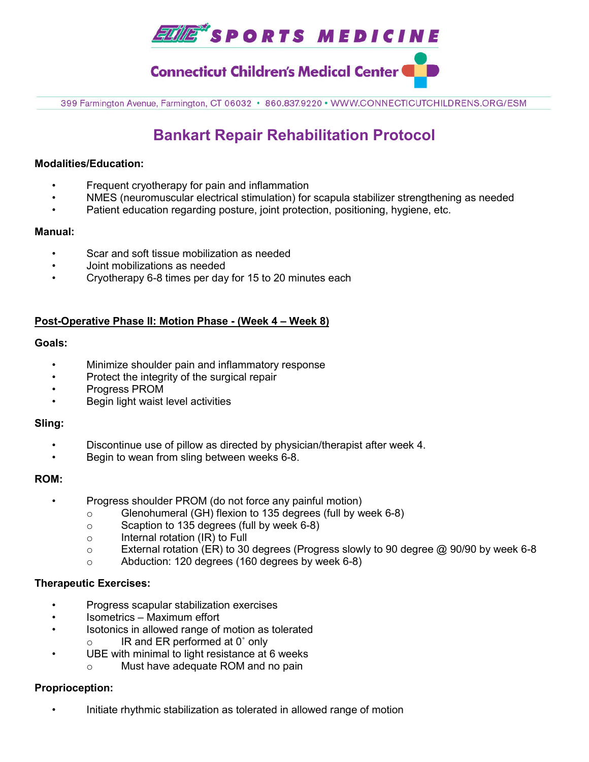

**Connecticut Children's Medical Center (** 

399 Farmington Avenue, Farmington, CT 06032 · 860.837.9220 · WWW.CONNECTICUTCHILDRENS.ORG/ESM

# **Bankart Repair Rehabilitation Protocol**

#### **Modalities/Education:**

- Frequent cryotherapy for pain and inflammation
- NMES (neuromuscular electrical stimulation) for scapula stabilizer strengthening as needed
- Patient education regarding posture, joint protection, positioning, hygiene, etc.

#### **Manual:**

- Scar and soft tissue mobilization as needed
- Joint mobilizations as needed
- Cryotherapy 6-8 times per day for 15 to 20 minutes each

# **Post-Operative Phase II: Motion Phase - (Week 4 – Week 8)**

#### **Goals:**

- Minimize shoulder pain and inflammatory response
- Protect the integrity of the surgical repair
- Progress PROM
- Begin light waist level activities

#### **Sling:**

- Discontinue use of pillow as directed by physician/therapist after week 4.
- Begin to wean from sling between weeks 6-8.

#### **ROM:**

- Progress shoulder PROM (do not force any painful motion)
	- o Glenohumeral (GH) flexion to 135 degrees (full by week 6-8)
	- o Scaption to 135 degrees (full by week 6-8)
	- o Internal rotation (IR) to Full
	- o External rotation (ER) to 30 degrees (Progress slowly to 90 degree @ 90/90 by week 6-8
	- o Abduction: 120 degrees (160 degrees by week 6-8)

# **Therapeutic Exercises:**

- Progress scapular stabilization exercises
- Isometrics Maximum effort
- Isotonics in allowed range of motion as tolerated
	- IR and ER performed at 0° only
- UBE with minimal to light resistance at 6 weeks
	- o Must have adequate ROM and no pain

# **Proprioception:**

• Initiate rhythmic stabilization as tolerated in allowed range of motion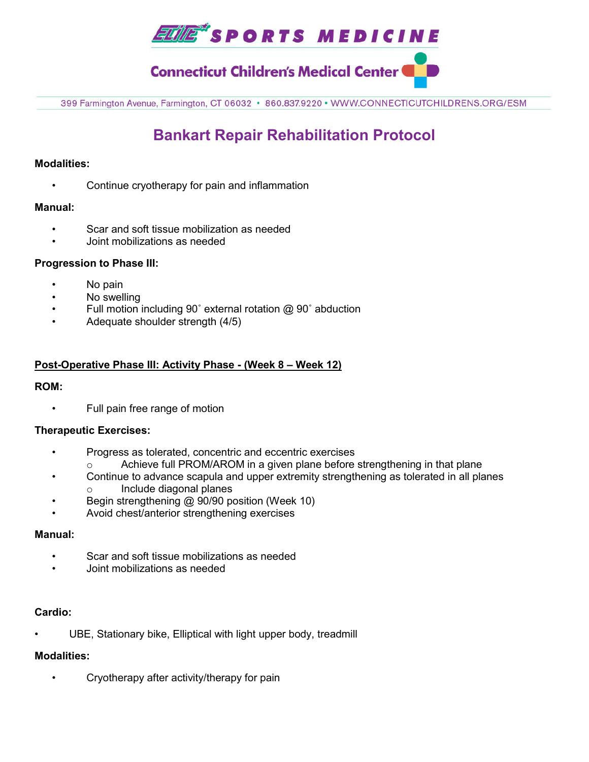

# **Connecticut Children's Medical Center (**

399 Farmington Avenue, Farmington, CT 06032 · 860.837.9220 · WWW.CONNECTICUTCHILDRENS.ORG/ESM

# **Bankart Repair Rehabilitation Protocol**

### **Modalities:**

Continue cryotherapy for pain and inflammation

#### **Manual:**

- Scar and soft tissue mobilization as needed
- Joint mobilizations as needed

#### **Progression to Phase III:**

- No pain
- No swelling
- Full motion including 90˚ external rotation @ 90˚ abduction
- Adequate shoulder strength (4/5)

# **Post-Operative Phase III: Activity Phase - (Week 8 – Week 12)**

#### **ROM:**

• Full pain free range of motion

#### **Therapeutic Exercises:**

- Progress as tolerated, concentric and eccentric exercises
	- Achieve full PROM/AROM in a given plane before strengthening in that plane
- Continue to advance scapula and upper extremity strengthening as tolerated in all planes o Include diagonal planes
- Begin strengthening @ 90/90 position (Week 10)
- Avoid chest/anterior strengthening exercises

### **Manual:**

- Scar and soft tissue mobilizations as needed
- Joint mobilizations as needed

#### **Cardio:**

UBE, Stationary bike, Elliptical with light upper body, treadmill

# **Modalities:**

• Cryotherapy after activity/therapy for pain